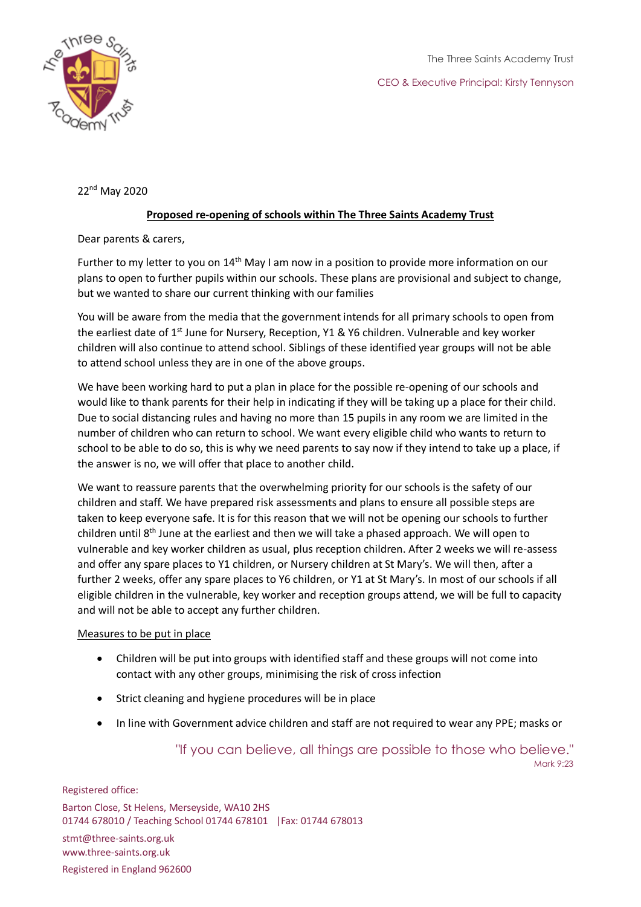



22nd May 2020

## **Proposed re-opening of schools within The Three Saints Academy Trust**

Dear parents & carers,

Further to my letter to you on 14<sup>th</sup> May I am now in a position to provide more information on our plans to open to further pupils within our schools. These plans are provisional and subject to change, but we wanted to share our current thinking with our families

You will be aware from the media that the government intends for all primary schools to open from the earliest date of 1<sup>st</sup> June for Nursery, Reception, Y1 & Y6 children. Vulnerable and key worker children will also continue to attend school. Siblings of these identified year groups will not be able to attend school unless they are in one of the above groups.

We have been working hard to put a plan in place for the possible re-opening of our schools and would like to thank parents for their help in indicating if they will be taking up a place for their child. Due to social distancing rules and having no more than 15 pupils in any room we are limited in the number of children who can return to school. We want every eligible child who wants to return to school to be able to do so, this is why we need parents to say now if they intend to take up a place, if the answer is no, we will offer that place to another child.

We want to reassure parents that the overwhelming priority for our schools is the safety of our children and staff. We have prepared risk assessments and plans to ensure all possible steps are taken to keep everyone safe. It is for this reason that we will not be opening our schools to further children until  $8<sup>th</sup>$  June at the earliest and then we will take a phased approach. We will open to vulnerable and key worker children as usual, plus reception children. After 2 weeks we will re-assess and offer any spare places to Y1 children, or Nursery children at St Mary's. We will then, after a further 2 weeks, offer any spare places to Y6 children, or Y1 at St Mary's. In most of our schools if all eligible children in the vulnerable, key worker and reception groups attend, we will be full to capacity and will not be able to accept any further children.

## Measures to be put in place

- Children will be put into groups with identified staff and these groups will not come into contact with any other groups, minimising the risk of cross infection
- Strict cleaning and hygiene procedures will be in place
- In line with Government advice children and staff are not required to wear any PPE; masks or

"If you can believe, all things are possible to those who believe." Mark 9:23

Registered office: Barton Close, St Helens, Merseyside, WA10 2HS 01744 678010 / Teaching School 01744 678101 |Fax: 01744 678013 stmt@three-saints.org.uk www.three-saints.org.uk Registered in England 962600